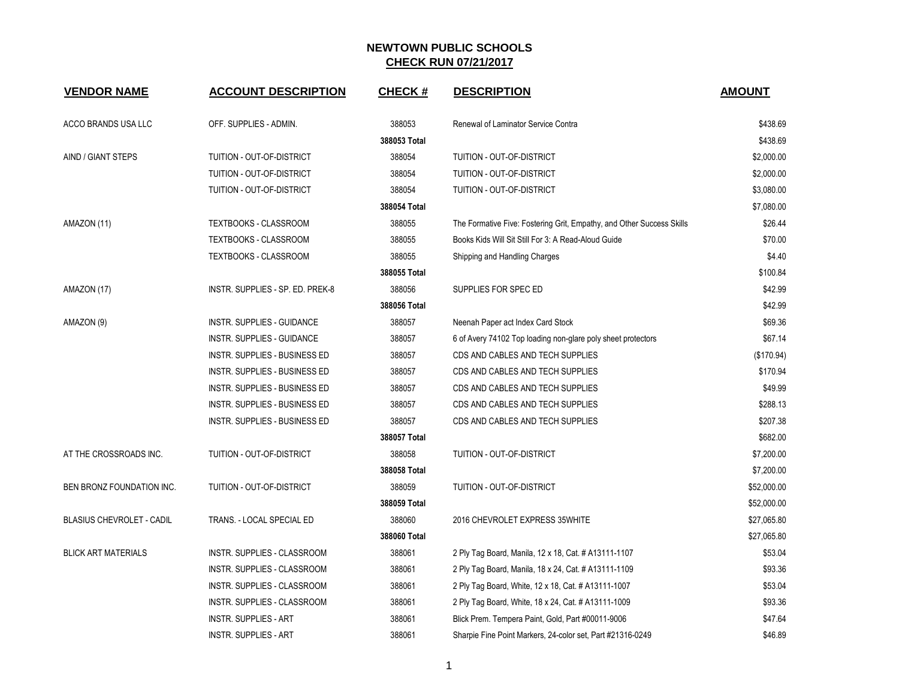| <b>VENDOR NAME</b>         | <b>ACCOUNT DESCRIPTION</b>           | <b>CHECK#</b> | <b>DESCRIPTION</b>                                                    | <b>AMOUNT</b> |
|----------------------------|--------------------------------------|---------------|-----------------------------------------------------------------------|---------------|
| ACCO BRANDS USA LLC        | OFF. SUPPLIES - ADMIN.               | 388053        | Renewal of Laminator Service Contra                                   | \$438.69      |
|                            |                                      | 388053 Total  |                                                                       | \$438.69      |
| AIND / GIANT STEPS         | TUITION - OUT-OF-DISTRICT            | 388054        | TUITION - OUT-OF-DISTRICT                                             | \$2,000.00    |
|                            | TUITION - OUT-OF-DISTRICT            | 388054        | TUITION - OUT-OF-DISTRICT                                             | \$2,000.00    |
|                            | TUITION - OUT-OF-DISTRICT            | 388054        | TUITION - OUT-OF-DISTRICT                                             | \$3,080.00    |
|                            |                                      | 388054 Total  |                                                                       | \$7,080.00    |
| AMAZON (11)                | TEXTBOOKS - CLASSROOM                | 388055        | The Formative Five: Fostering Grit, Empathy, and Other Success Skills | \$26.44       |
|                            | <b>TEXTBOOKS - CLASSROOM</b>         | 388055        | Books Kids Will Sit Still For 3: A Read-Aloud Guide                   | \$70.00       |
|                            | TEXTBOOKS - CLASSROOM                | 388055        | Shipping and Handling Charges                                         | \$4.40        |
|                            |                                      | 388055 Total  |                                                                       | \$100.84      |
| AMAZON (17)                | INSTR. SUPPLIES - SP. ED. PREK-8     | 388056        | SUPPLIES FOR SPEC ED                                                  | \$42.99       |
|                            |                                      | 388056 Total  |                                                                       | \$42.99       |
| AMAZON (9)                 | INSTR. SUPPLIES - GUIDANCE           | 388057        | Neenah Paper act Index Card Stock                                     | \$69.36       |
|                            | INSTR. SUPPLIES - GUIDANCE           | 388057        | 6 of Avery 74102 Top loading non-glare poly sheet protectors          | \$67.14       |
|                            | <b>INSTR. SUPPLIES - BUSINESS ED</b> | 388057        | CDS AND CABLES AND TECH SUPPLIES                                      | (\$170.94)    |
|                            | INSTR. SUPPLIES - BUSINESS ED        | 388057        | CDS AND CABLES AND TECH SUPPLIES                                      | \$170.94      |
|                            | INSTR. SUPPLIES - BUSINESS ED        | 388057        | CDS AND CABLES AND TECH SUPPLIES                                      | \$49.99       |
|                            | INSTR. SUPPLIES - BUSINESS ED        | 388057        | CDS AND CABLES AND TECH SUPPLIES                                      | \$288.13      |
|                            | INSTR. SUPPLIES - BUSINESS ED        | 388057        | CDS AND CABLES AND TECH SUPPLIES                                      | \$207.38      |
|                            |                                      | 388057 Total  |                                                                       | \$682.00      |
| AT THE CROSSROADS INC.     | TUITION - OUT-OF-DISTRICT            | 388058        | TUITION - OUT-OF-DISTRICT                                             | \$7,200.00    |
|                            |                                      | 388058 Total  |                                                                       | \$7,200.00    |
| BEN BRONZ FOUNDATION INC.  | TUITION - OUT-OF-DISTRICT            | 388059        | TUITION - OUT-OF-DISTRICT                                             | \$52,000.00   |
|                            |                                      | 388059 Total  |                                                                       | \$52,000.00   |
| BLASIUS CHEVROLET - CADIL  | TRANS. - LOCAL SPECIAL ED            | 388060        | 2016 CHEVROLET EXPRESS 35WHITE                                        | \$27,065.80   |
|                            |                                      | 388060 Total  |                                                                       | \$27,065.80   |
| <b>BLICK ART MATERIALS</b> | INSTR. SUPPLIES - CLASSROOM          | 388061        | 2 Ply Tag Board, Manila, 12 x 18, Cat. # A13111-1107                  | \$53.04       |
|                            | INSTR. SUPPLIES - CLASSROOM          | 388061        | 2 Ply Tag Board, Manila, 18 x 24, Cat. # A13111-1109                  | \$93.36       |
|                            | INSTR. SUPPLIES - CLASSROOM          | 388061        | 2 Ply Tag Board, White, 12 x 18, Cat. # A13111-1007                   | \$53.04       |
|                            | INSTR. SUPPLIES - CLASSROOM          | 388061        | 2 Ply Tag Board, White, 18 x 24, Cat. # A13111-1009                   | \$93.36       |
|                            | <b>INSTR. SUPPLIES - ART</b>         | 388061        | Blick Prem. Tempera Paint, Gold, Part #00011-9006                     | \$47.64       |
|                            | <b>INSTR. SUPPLIES - ART</b>         | 388061        | Sharpie Fine Point Markers, 24-color set, Part #21316-0249            | \$46.89       |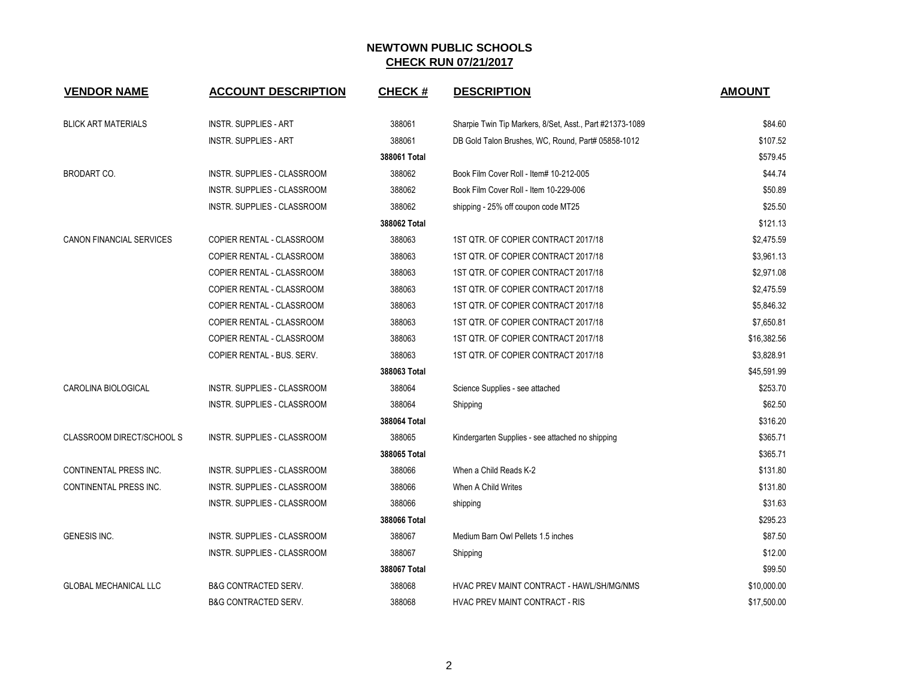| <b>VENDOR NAME</b>               | <b>ACCOUNT DESCRIPTION</b>         | <b>CHECK#</b> | <b>DESCRIPTION</b>                                       | <b>AMOUNT</b> |
|----------------------------------|------------------------------------|---------------|----------------------------------------------------------|---------------|
| <b>BLICK ART MATERIALS</b>       | <b>INSTR. SUPPLIES - ART</b>       | 388061        | Sharpie Twin Tip Markers, 8/Set, Asst., Part #21373-1089 | \$84.60       |
|                                  | <b>INSTR. SUPPLIES - ART</b>       | 388061        | DB Gold Talon Brushes, WC, Round, Part# 05858-1012       | \$107.52      |
|                                  |                                    | 388061 Total  |                                                          | \$579.45      |
| <b>BRODART CO.</b>               | INSTR. SUPPLIES - CLASSROOM        | 388062        | Book Film Cover Roll - Item# 10-212-005                  | \$44.74       |
|                                  | <b>INSTR. SUPPLIES - CLASSROOM</b> | 388062        | Book Film Cover Roll - Item 10-229-006                   | \$50.89       |
|                                  | INSTR. SUPPLIES - CLASSROOM        | 388062        | shipping - 25% off coupon code MT25                      | \$25.50       |
|                                  |                                    | 388062 Total  |                                                          | \$121.13      |
| <b>CANON FINANCIAL SERVICES</b>  | COPIER RENTAL - CLASSROOM          | 388063        | 1ST QTR. OF COPIER CONTRACT 2017/18                      | \$2,475.59    |
|                                  | COPIER RENTAL - CLASSROOM          | 388063        | 1ST QTR. OF COPIER CONTRACT 2017/18                      | \$3,961.13    |
|                                  | COPIER RENTAL - CLASSROOM          | 388063        | 1ST QTR. OF COPIER CONTRACT 2017/18                      | \$2,971.08    |
|                                  | COPIER RENTAL - CLASSROOM          | 388063        | 1ST QTR. OF COPIER CONTRACT 2017/18                      | \$2,475.59    |
|                                  | COPIER RENTAL - CLASSROOM          | 388063        | 1ST QTR. OF COPIER CONTRACT 2017/18                      | \$5,846.32    |
|                                  | COPIER RENTAL - CLASSROOM          | 388063        | 1ST QTR. OF COPIER CONTRACT 2017/18                      | \$7,650.81    |
|                                  | COPIER RENTAL - CLASSROOM          | 388063        | 1ST QTR. OF COPIER CONTRACT 2017/18                      | \$16,382.56   |
|                                  | COPIER RENTAL - BUS. SERV.         | 388063        | 1ST QTR. OF COPIER CONTRACT 2017/18                      | \$3,828.91    |
|                                  |                                    | 388063 Total  |                                                          | \$45,591.99   |
| CAROLINA BIOLOGICAL              | <b>INSTR. SUPPLIES - CLASSROOM</b> | 388064        | Science Supplies - see attached                          | \$253.70      |
|                                  | INSTR. SUPPLIES - CLASSROOM        | 388064        | Shipping                                                 | \$62.50       |
|                                  |                                    | 388064 Total  |                                                          | \$316.20      |
| <b>CLASSROOM DIRECT/SCHOOL S</b> | <b>INSTR. SUPPLIES - CLASSROOM</b> | 388065        | Kindergarten Supplies - see attached no shipping         | \$365.71      |
|                                  |                                    | 388065 Total  |                                                          | \$365.71      |
| CONTINENTAL PRESS INC.           | INSTR. SUPPLIES - CLASSROOM        | 388066        | When a Child Reads K-2                                   | \$131.80      |
| CONTINENTAL PRESS INC.           | INSTR. SUPPLIES - CLASSROOM        | 388066        | When A Child Writes                                      | \$131.80      |
|                                  | INSTR. SUPPLIES - CLASSROOM        | 388066        | shipping                                                 | \$31.63       |
|                                  |                                    | 388066 Total  |                                                          | \$295.23      |
| <b>GENESIS INC.</b>              | INSTR. SUPPLIES - CLASSROOM        | 388067        | Medium Barn Owl Pellets 1.5 inches                       | \$87.50       |
|                                  | INSTR. SUPPLIES - CLASSROOM        | 388067        | Shipping                                                 | \$12.00       |
|                                  |                                    | 388067 Total  |                                                          | \$99.50       |
| <b>GLOBAL MECHANICAL LLC</b>     | <b>B&amp;G CONTRACTED SERV.</b>    | 388068        | HVAC PREV MAINT CONTRACT - HAWL/SH/MG/NMS                | \$10,000.00   |
|                                  | <b>B&amp;G CONTRACTED SERV.</b>    | 388068        | HVAC PREV MAINT CONTRACT - RIS                           | \$17,500.00   |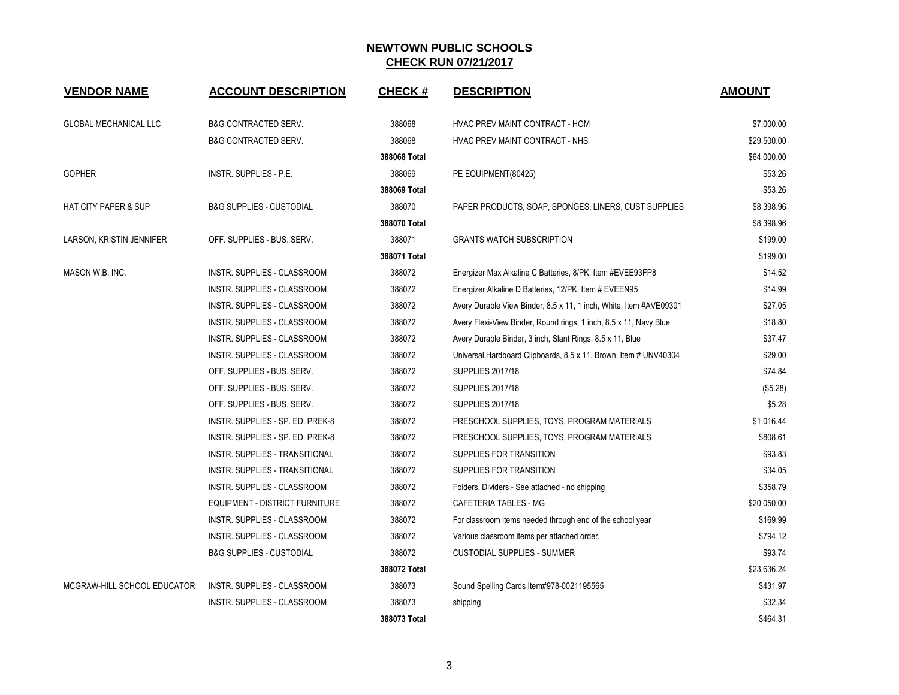| <b>VENDOR NAME</b>              | <b>ACCOUNT DESCRIPTION</b>          | <b>CHECK#</b> | <b>DESCRIPTION</b>                                                 | <b>AMOUNT</b> |
|---------------------------------|-------------------------------------|---------------|--------------------------------------------------------------------|---------------|
| <b>GLOBAL MECHANICAL LLC</b>    | <b>B&amp;G CONTRACTED SERV.</b>     | 388068        | HVAC PREV MAINT CONTRACT - HOM                                     | \$7,000.00    |
|                                 | <b>B&amp;G CONTRACTED SERV.</b>     | 388068        | HVAC PREV MAINT CONTRACT - NHS                                     | \$29,500.00   |
|                                 |                                     | 388068 Total  |                                                                    | \$64,000.00   |
| <b>GOPHER</b>                   | <b>INSTR. SUPPLIES - P.E.</b>       | 388069        | PE EQUIPMENT(80425)                                                | \$53.26       |
|                                 |                                     | 388069 Total  |                                                                    | \$53.26       |
| <b>HAT CITY PAPER &amp; SUP</b> | <b>B&amp;G SUPPLIES - CUSTODIAL</b> | 388070        | PAPER PRODUCTS, SOAP, SPONGES, LINERS, CUST SUPPLIES               | \$8,398.96    |
|                                 |                                     | 388070 Total  |                                                                    | \$8,398.96    |
| LARSON, KRISTIN JENNIFER        | OFF. SUPPLIES - BUS. SERV.          | 388071        | <b>GRANTS WATCH SUBSCRIPTION</b>                                   | \$199.00      |
|                                 |                                     | 388071 Total  |                                                                    | \$199.00      |
| MASON W.B. INC.                 | INSTR. SUPPLIES - CLASSROOM         | 388072        | Energizer Max Alkaline C Batteries, 8/PK, Item #EVEE93FP8          | \$14.52       |
|                                 | <b>INSTR. SUPPLIES - CLASSROOM</b>  | 388072        | Energizer Alkaline D Batteries, 12/PK, Item # EVEEN95              | \$14.99       |
|                                 | INSTR. SUPPLIES - CLASSROOM         | 388072        | Avery Durable View Binder, 8.5 x 11, 1 inch, White, Item #AVE09301 | \$27.05       |
|                                 | INSTR. SUPPLIES - CLASSROOM         | 388072        | Avery Flexi-View Binder, Round rings, 1 inch, 8.5 x 11, Navy Blue  | \$18.80       |
|                                 | INSTR. SUPPLIES - CLASSROOM         | 388072        | Avery Durable Binder, 3 inch, Slant Rings, 8.5 x 11, Blue          | \$37.47       |
|                                 | INSTR. SUPPLIES - CLASSROOM         | 388072        | Universal Hardboard Clipboards, 8.5 x 11, Brown, Item # UNV40304   | \$29.00       |
|                                 | OFF. SUPPLIES - BUS. SERV.          | 388072        | <b>SUPPLIES 2017/18</b>                                            | \$74.84       |
|                                 | OFF. SUPPLIES - BUS. SERV.          | 388072        | <b>SUPPLIES 2017/18</b>                                            | (\$5.28)      |
|                                 | OFF. SUPPLIES - BUS. SERV.          | 388072        | <b>SUPPLIES 2017/18</b>                                            | \$5.28        |
|                                 | INSTR. SUPPLIES - SP. ED. PREK-8    | 388072        | PRESCHOOL SUPPLIES, TOYS, PROGRAM MATERIALS                        | \$1,016.44    |
|                                 | INSTR. SUPPLIES - SP. ED. PREK-8    | 388072        | PRESCHOOL SUPPLIES, TOYS, PROGRAM MATERIALS                        | \$808.61      |
|                                 | INSTR. SUPPLIES - TRANSITIONAL      | 388072        | SUPPLIES FOR TRANSITION                                            | \$93.83       |
|                                 | INSTR. SUPPLIES - TRANSITIONAL      | 388072        | SUPPLIES FOR TRANSITION                                            | \$34.05       |
|                                 | INSTR. SUPPLIES - CLASSROOM         | 388072        | Folders, Dividers - See attached - no shipping                     | \$358.79      |
|                                 | EQUIPMENT - DISTRICT FURNITURE      | 388072        | CAFETERIA TABLES - MG                                              | \$20,050.00   |
|                                 | INSTR. SUPPLIES - CLASSROOM         | 388072        | For classroom items needed through end of the school year          | \$169.99      |
|                                 | <b>INSTR. SUPPLIES - CLASSROOM</b>  | 388072        | Various classroom items per attached order.                        | \$794.12      |
|                                 | <b>B&amp;G SUPPLIES - CUSTODIAL</b> | 388072        | <b>CUSTODIAL SUPPLIES - SUMMER</b>                                 | \$93.74       |
|                                 |                                     | 388072 Total  |                                                                    | \$23,636.24   |
| MCGRAW-HILL SCHOOL EDUCATOR     | INSTR. SUPPLIES - CLASSROOM         | 388073        | Sound Spelling Cards Item#978-0021195565                           | \$431.97      |
|                                 | INSTR. SUPPLIES - CLASSROOM         | 388073        | shipping                                                           | \$32.34       |
|                                 |                                     | 388073 Total  |                                                                    | \$464.31      |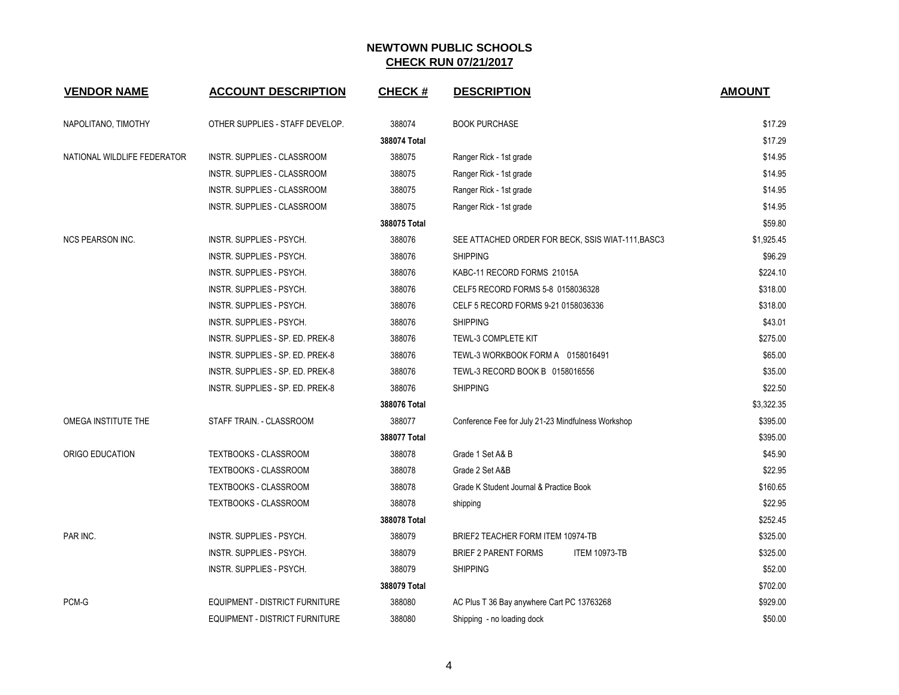| <b>VENDOR NAME</b>          | <b>ACCOUNT DESCRIPTION</b>       | <b>CHECK#</b> | <b>DESCRIPTION</b>                                  | <b>AMOUNT</b> |
|-----------------------------|----------------------------------|---------------|-----------------------------------------------------|---------------|
| NAPOLITANO, TIMOTHY         | OTHER SUPPLIES - STAFF DEVELOP.  | 388074        | <b>BOOK PURCHASE</b>                                | \$17.29       |
|                             |                                  | 388074 Total  |                                                     | \$17.29       |
| NATIONAL WILDLIFE FEDERATOR | INSTR. SUPPLIES - CLASSROOM      | 388075        | Ranger Rick - 1st grade                             | \$14.95       |
|                             | INSTR. SUPPLIES - CLASSROOM      | 388075        | Ranger Rick - 1st grade                             | \$14.95       |
|                             | INSTR. SUPPLIES - CLASSROOM      | 388075        | Ranger Rick - 1st grade                             | \$14.95       |
|                             | INSTR. SUPPLIES - CLASSROOM      | 388075        | Ranger Rick - 1st grade                             | \$14.95       |
|                             |                                  | 388075 Total  |                                                     | \$59.80       |
| <b>NCS PEARSON INC.</b>     | INSTR. SUPPLIES - PSYCH.         | 388076        | SEE ATTACHED ORDER FOR BECK, SSIS WIAT-111, BASC3   | \$1,925.45    |
|                             | INSTR. SUPPLIES - PSYCH.         | 388076        | <b>SHIPPING</b>                                     | \$96.29       |
|                             | INSTR. SUPPLIES - PSYCH.         | 388076        | KABC-11 RECORD FORMS 21015A                         | \$224.10      |
|                             | INSTR. SUPPLIES - PSYCH.         | 388076        | CELF5 RECORD FORMS 5-8 0158036328                   | \$318.00      |
|                             | INSTR. SUPPLIES - PSYCH.         | 388076        | CELF 5 RECORD FORMS 9-21 0158036336                 | \$318.00      |
|                             | INSTR. SUPPLIES - PSYCH.         | 388076        | <b>SHIPPING</b>                                     | \$43.01       |
|                             | INSTR. SUPPLIES - SP. ED. PREK-8 | 388076        | TEWL-3 COMPLETE KIT                                 | \$275.00      |
|                             | INSTR. SUPPLIES - SP. ED. PREK-8 | 388076        | TEWL-3 WORKBOOK FORM A 0158016491                   | \$65.00       |
|                             | INSTR. SUPPLIES - SP. ED. PREK-8 | 388076        | TEWL-3 RECORD BOOK B 0158016556                     | \$35.00       |
|                             | INSTR. SUPPLIES - SP. ED. PREK-8 | 388076        | <b>SHIPPING</b>                                     | \$22.50       |
|                             |                                  | 388076 Total  |                                                     | \$3,322.35    |
| OMEGA INSTITUTE THE         | STAFF TRAIN. - CLASSROOM         | 388077        | Conference Fee for July 21-23 Mindfulness Workshop  | \$395.00      |
|                             |                                  | 388077 Total  |                                                     | \$395.00      |
| ORIGO EDUCATION             | TEXTBOOKS - CLASSROOM            | 388078        | Grade 1 Set A& B                                    | \$45.90       |
|                             | <b>TEXTBOOKS - CLASSROOM</b>     | 388078        | Grade 2 Set A&B                                     | \$22.95       |
|                             | TEXTBOOKS - CLASSROOM            | 388078        | Grade K Student Journal & Practice Book             | \$160.65      |
|                             | <b>TEXTBOOKS - CLASSROOM</b>     | 388078        | shipping                                            | \$22.95       |
|                             |                                  | 388078 Total  |                                                     | \$252.45      |
| PAR INC.                    | INSTR. SUPPLIES - PSYCH.         | 388079        | BRIEF2 TEACHER FORM ITEM 10974-TB                   | \$325.00      |
|                             | INSTR. SUPPLIES - PSYCH.         | 388079        | <b>BRIEF 2 PARENT FORMS</b><br><b>ITEM 10973-TB</b> | \$325.00      |
|                             | INSTR. SUPPLIES - PSYCH.         | 388079        | <b>SHIPPING</b>                                     | \$52.00       |
|                             |                                  | 388079 Total  |                                                     | \$702.00      |
| PCM-G                       | EQUIPMENT - DISTRICT FURNITURE   | 388080        | AC Plus T 36 Bay anywhere Cart PC 13763268          | \$929.00      |
|                             | EQUIPMENT - DISTRICT FURNITURE   | 388080        | Shipping - no loading dock                          | \$50.00       |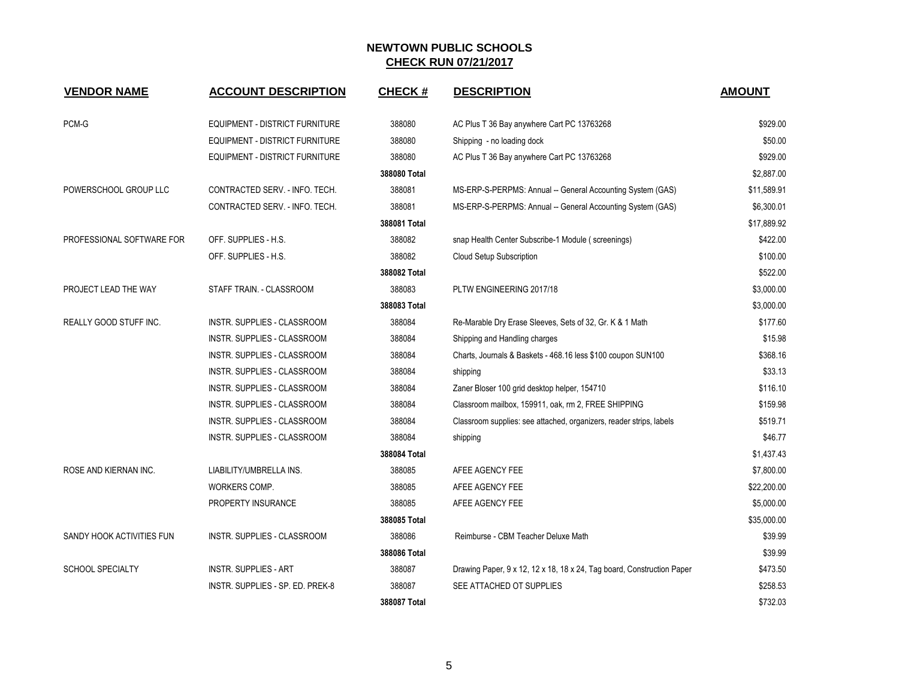| <b>VENDOR NAME</b>            | <b>ACCOUNT DESCRIPTION</b>            | <b>CHECK#</b> | <b>DESCRIPTION</b>                                                     | <b>AMOUNT</b> |
|-------------------------------|---------------------------------------|---------------|------------------------------------------------------------------------|---------------|
| PCM-G                         | <b>EQUIPMENT - DISTRICT FURNITURE</b> | 388080        | AC Plus T 36 Bay anywhere Cart PC 13763268                             | \$929.00      |
|                               | EQUIPMENT - DISTRICT FURNITURE        | 388080        | Shipping - no loading dock                                             | \$50.00       |
|                               | <b>EQUIPMENT - DISTRICT FURNITURE</b> | 388080        | AC Plus T 36 Bay anywhere Cart PC 13763268                             | \$929.00      |
|                               |                                       | 388080 Total  |                                                                        | \$2,887.00    |
| POWERSCHOOL GROUP LLC         | CONTRACTED SERV. - INFO. TECH.        | 388081        | MS-ERP-S-PERPMS: Annual -- General Accounting System (GAS)             | \$11,589.91   |
|                               | CONTRACTED SERV. - INFO. TECH.        | 388081        | MS-ERP-S-PERPMS: Annual -- General Accounting System (GAS)             | \$6,300.01    |
|                               |                                       | 388081 Total  |                                                                        | \$17,889.92   |
| PROFESSIONAL SOFTWARE FOR     | OFF. SUPPLIES - H.S.                  | 388082        | snap Health Center Subscribe-1 Module (screenings)                     | \$422.00      |
|                               | OFF. SUPPLIES - H.S.                  | 388082        | Cloud Setup Subscription                                               | \$100.00      |
|                               |                                       | 388082 Total  |                                                                        | \$522.00      |
| PROJECT LEAD THE WAY          | STAFF TRAIN. - CLASSROOM              | 388083        | PLTW ENGINEERING 2017/18                                               | \$3,000.00    |
|                               |                                       | 388083 Total  |                                                                        | \$3,000.00    |
| <b>REALLY GOOD STUFF INC.</b> | <b>INSTR. SUPPLIES - CLASSROOM</b>    | 388084        | Re-Marable Dry Erase Sleeves, Sets of 32, Gr. K & 1 Math               | \$177.60      |
|                               | INSTR. SUPPLIES - CLASSROOM           | 388084        | Shipping and Handling charges                                          | \$15.98       |
|                               | <b>INSTR. SUPPLIES - CLASSROOM</b>    | 388084        | Charts, Journals & Baskets - 468.16 less \$100 coupon SUN100           | \$368.16      |
|                               | <b>INSTR. SUPPLIES - CLASSROOM</b>    | 388084        | shipping                                                               | \$33.13       |
|                               | INSTR. SUPPLIES - CLASSROOM           | 388084        | Zaner Bloser 100 grid desktop helper, 154710                           | \$116.10      |
|                               | INSTR. SUPPLIES - CLASSROOM           | 388084        | Classroom mailbox, 159911, oak, rm 2, FREE SHIPPING                    | \$159.98      |
|                               | INSTR. SUPPLIES - CLASSROOM           | 388084        | Classroom supplies: see attached, organizers, reader strips, labels    | \$519.71      |
|                               | INSTR. SUPPLIES - CLASSROOM           | 388084        | shipping                                                               | \$46.77       |
|                               |                                       | 388084 Total  |                                                                        | \$1,437.43    |
| ROSE AND KIERNAN INC.         | LIABILITY/UMBRELLA INS.               | 388085        | AFEE AGENCY FEE                                                        | \$7,800.00    |
|                               | WORKERS COMP.                         | 388085        | AFEE AGENCY FEE                                                        | \$22,200.00   |
|                               | PROPERTY INSURANCE                    | 388085        | AFEE AGENCY FEE                                                        | \$5,000.00    |
|                               |                                       | 388085 Total  |                                                                        | \$35,000.00   |
| SANDY HOOK ACTIVITIES FUN     | INSTR. SUPPLIES - CLASSROOM           | 388086        | Reimburse - CBM Teacher Deluxe Math                                    | \$39.99       |
|                               |                                       | 388086 Total  |                                                                        | \$39.99       |
| <b>SCHOOL SPECIALTY</b>       | <b>INSTR. SUPPLIES - ART</b>          | 388087        | Drawing Paper, 9 x 12, 12 x 18, 18 x 24, Tag board, Construction Paper | \$473.50      |
|                               | INSTR. SUPPLIES - SP. ED. PREK-8      | 388087        | SEE ATTACHED OT SUPPLIES                                               | \$258.53      |
|                               |                                       | 388087 Total  |                                                                        | \$732.03      |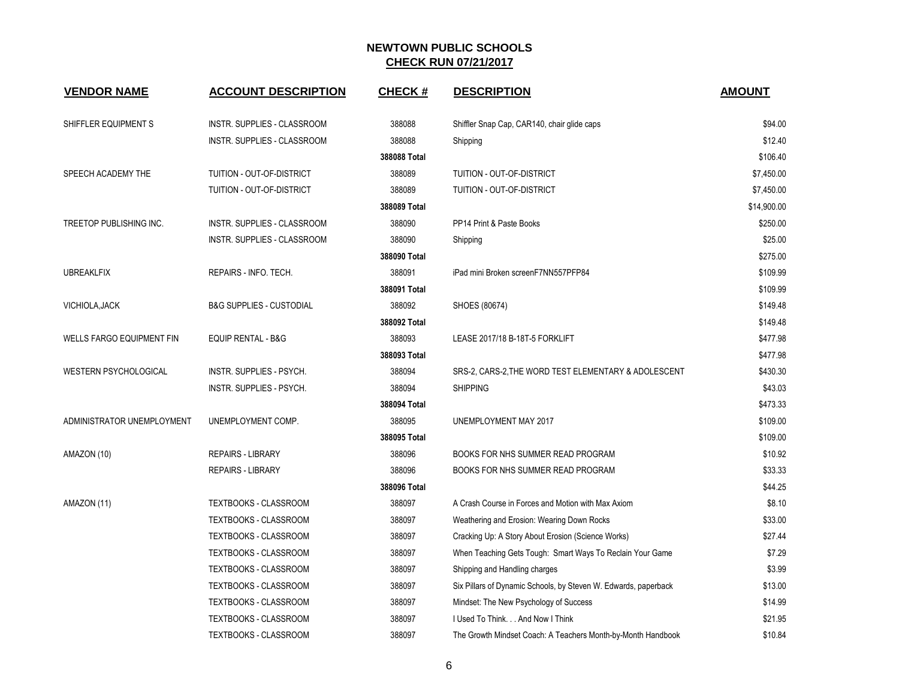| <b>VENDOR NAME</b>               | <b>ACCOUNT DESCRIPTION</b>          | <b>CHECK#</b> | <b>DESCRIPTION</b>                                              | <b>AMOUNT</b> |
|----------------------------------|-------------------------------------|---------------|-----------------------------------------------------------------|---------------|
| SHIFFLER EQUIPMENT S             | INSTR. SUPPLIES - CLASSROOM         | 388088        | Shiffler Snap Cap, CAR140, chair glide caps                     | \$94.00       |
|                                  | INSTR. SUPPLIES - CLASSROOM         | 388088        | Shipping                                                        | \$12.40       |
|                                  |                                     | 388088 Total  |                                                                 | \$106.40      |
| SPEECH ACADEMY THE               | TUITION - OUT-OF-DISTRICT           | 388089        | TUITION - OUT-OF-DISTRICT                                       | \$7,450.00    |
|                                  | TUITION - OUT-OF-DISTRICT           | 388089        | TUITION - OUT-OF-DISTRICT                                       | \$7,450.00    |
|                                  |                                     | 388089 Total  |                                                                 | \$14,900.00   |
| TREETOP PUBLISHING INC.          | INSTR. SUPPLIES - CLASSROOM         | 388090        | PP14 Print & Paste Books                                        | \$250.00      |
|                                  | INSTR. SUPPLIES - CLASSROOM         | 388090        | Shipping                                                        | \$25.00       |
|                                  |                                     | 388090 Total  |                                                                 | \$275.00      |
| <b>UBREAKLFIX</b>                | REPAIRS - INFO. TECH.               | 388091        | iPad mini Broken screenF7NN557PFP84                             | \$109.99      |
|                                  |                                     | 388091 Total  |                                                                 | \$109.99      |
| VICHIOLA, JACK                   | <b>B&amp;G SUPPLIES - CUSTODIAL</b> | 388092        | SHOES (80674)                                                   | \$149.48      |
|                                  |                                     | 388092 Total  |                                                                 | \$149.48      |
| <b>WELLS FARGO EQUIPMENT FIN</b> | <b>EQUIP RENTAL - B&amp;G</b>       | 388093        | LEASE 2017/18 B-18T-5 FORKLIFT                                  | \$477.98      |
|                                  |                                     | 388093 Total  |                                                                 | \$477.98      |
| <b>WESTERN PSYCHOLOGICAL</b>     | <b>INSTR. SUPPLIES - PSYCH.</b>     | 388094        | SRS-2, CARS-2, THE WORD TEST ELEMENTARY & ADOLESCENT            | \$430.30      |
|                                  | INSTR. SUPPLIES - PSYCH.            | 388094        | <b>SHIPPING</b>                                                 | \$43.03       |
|                                  |                                     | 388094 Total  |                                                                 | \$473.33      |
| ADMINISTRATOR UNEMPLOYMENT       | UNEMPLOYMENT COMP.                  | 388095        | UNEMPLOYMENT MAY 2017                                           | \$109.00      |
|                                  |                                     | 388095 Total  |                                                                 | \$109.00      |
| AMAZON (10)                      | <b>REPAIRS - LIBRARY</b>            | 388096        | BOOKS FOR NHS SUMMER READ PROGRAM                               | \$10.92       |
|                                  | <b>REPAIRS - LIBRARY</b>            | 388096        | BOOKS FOR NHS SUMMER READ PROGRAM                               | \$33.33       |
|                                  |                                     | 388096 Total  |                                                                 | \$44.25       |
| AMAZON (11)                      | TEXTBOOKS - CLASSROOM               | 388097        | A Crash Course in Forces and Motion with Max Axiom              | \$8.10        |
|                                  | <b>TEXTBOOKS - CLASSROOM</b>        | 388097        | Weathering and Erosion: Wearing Down Rocks                      | \$33.00       |
|                                  | <b>TEXTBOOKS - CLASSROOM</b>        | 388097        | Cracking Up: A Story About Erosion (Science Works)              | \$27.44       |
|                                  | TEXTBOOKS - CLASSROOM               | 388097        | When Teaching Gets Tough: Smart Ways To Reclain Your Game       | \$7.29        |
|                                  | <b>TEXTBOOKS - CLASSROOM</b>        | 388097        | Shipping and Handling charges                                   | \$3.99        |
|                                  | <b>TEXTBOOKS - CLASSROOM</b>        | 388097        | Six Pillars of Dynamic Schools, by Steven W. Edwards, paperback | \$13.00       |
|                                  | TEXTBOOKS - CLASSROOM               | 388097        | Mindset: The New Psychology of Success                          | \$14.99       |
|                                  | <b>TEXTBOOKS - CLASSROOM</b>        | 388097        | I Used To Think. And Now I Think                                | \$21.95       |
|                                  | <b>TEXTBOOKS - CLASSROOM</b>        | 388097        | The Growth Mindset Coach: A Teachers Month-by-Month Handbook    | \$10.84       |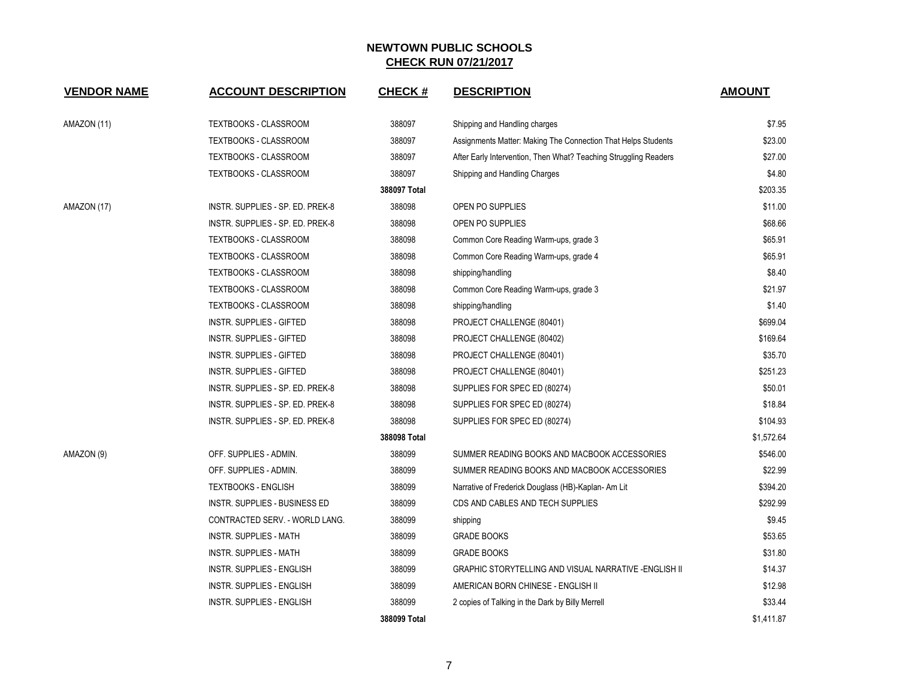| <b>VENDOR NAME</b> | <b>ACCOUNT DESCRIPTION</b>       | <b>CHECK#</b> | <b>DESCRIPTION</b>                                               | <b>AMOUNT</b> |
|--------------------|----------------------------------|---------------|------------------------------------------------------------------|---------------|
| AMAZON (11)        | TEXTBOOKS - CLASSROOM            | 388097        | Shipping and Handling charges                                    | \$7.95        |
|                    | TEXTBOOKS - CLASSROOM            | 388097        | Assignments Matter: Making The Connection That Helps Students    | \$23.00       |
|                    | TEXTBOOKS - CLASSROOM            | 388097        | After Early Intervention, Then What? Teaching Struggling Readers | \$27.00       |
|                    | <b>TEXTBOOKS - CLASSROOM</b>     | 388097        | Shipping and Handling Charges                                    | \$4.80        |
|                    |                                  | 388097 Total  |                                                                  | \$203.35      |
| AMAZON (17)        | INSTR. SUPPLIES - SP. ED. PREK-8 | 388098        | OPEN PO SUPPLIES                                                 | \$11.00       |
|                    | INSTR. SUPPLIES - SP. ED. PREK-8 | 388098        | OPEN PO SUPPLIES                                                 | \$68.66       |
|                    | TEXTBOOKS - CLASSROOM            | 388098        | Common Core Reading Warm-ups, grade 3                            | \$65.91       |
|                    | TEXTBOOKS - CLASSROOM            | 388098        | Common Core Reading Warm-ups, grade 4                            | \$65.91       |
|                    | TEXTBOOKS - CLASSROOM            | 388098        | shipping/handling                                                | \$8.40        |
|                    | TEXTBOOKS - CLASSROOM            | 388098        | Common Core Reading Warm-ups, grade 3                            | \$21.97       |
|                    | TEXTBOOKS - CLASSROOM            | 388098        | shipping/handling                                                | \$1.40        |
|                    | <b>INSTR. SUPPLIES - GIFTED</b>  | 388098        | PROJECT CHALLENGE (80401)                                        | \$699.04      |
|                    | <b>INSTR. SUPPLIES - GIFTED</b>  | 388098        | PROJECT CHALLENGE (80402)                                        | \$169.64      |
|                    | <b>INSTR. SUPPLIES - GIFTED</b>  | 388098        | PROJECT CHALLENGE (80401)                                        | \$35.70       |
|                    | <b>INSTR. SUPPLIES - GIFTED</b>  | 388098        | PROJECT CHALLENGE (80401)                                        | \$251.23      |
|                    | INSTR. SUPPLIES - SP. ED. PREK-8 | 388098        | SUPPLIES FOR SPEC ED (80274)                                     | \$50.01       |
|                    | INSTR. SUPPLIES - SP. ED. PREK-8 | 388098        | SUPPLIES FOR SPEC ED (80274)                                     | \$18.84       |
|                    | INSTR. SUPPLIES - SP. ED. PREK-8 | 388098        | SUPPLIES FOR SPEC ED (80274)                                     | \$104.93      |
|                    |                                  | 388098 Total  |                                                                  | \$1,572.64    |
| AMAZON (9)         | OFF. SUPPLIES - ADMIN.           | 388099        | SUMMER READING BOOKS AND MACBOOK ACCESSORIES                     | \$546.00      |
|                    | OFF. SUPPLIES - ADMIN.           | 388099        | SUMMER READING BOOKS AND MACBOOK ACCESSORIES                     | \$22.99       |
|                    | <b>TEXTBOOKS - ENGLISH</b>       | 388099        | Narrative of Frederick Douglass (HB)-Kaplan-Am Lit               | \$394.20      |
|                    | INSTR. SUPPLIES - BUSINESS ED    | 388099        | CDS AND CABLES AND TECH SUPPLIES                                 | \$292.99      |
|                    | CONTRACTED SERV. - WORLD LANG.   | 388099        | shipping                                                         | \$9.45        |
|                    | <b>INSTR. SUPPLIES - MATH</b>    | 388099        | <b>GRADE BOOKS</b>                                               | \$53.65       |
|                    | <b>INSTR. SUPPLIES - MATH</b>    | 388099        | <b>GRADE BOOKS</b>                                               | \$31.80       |
|                    | INSTR. SUPPLIES - ENGLISH        | 388099        | <b>GRAPHIC STORYTELLING AND VISUAL NARRATIVE -ENGLISH II</b>     | \$14.37       |
|                    | INSTR. SUPPLIES - ENGLISH        | 388099        | AMERICAN BORN CHINESE - ENGLISH II                               | \$12.98       |
|                    | <b>INSTR. SUPPLIES - ENGLISH</b> | 388099        | 2 copies of Talking in the Dark by Billy Merrell                 | \$33.44       |
|                    |                                  | 388099 Total  |                                                                  | \$1,411.87    |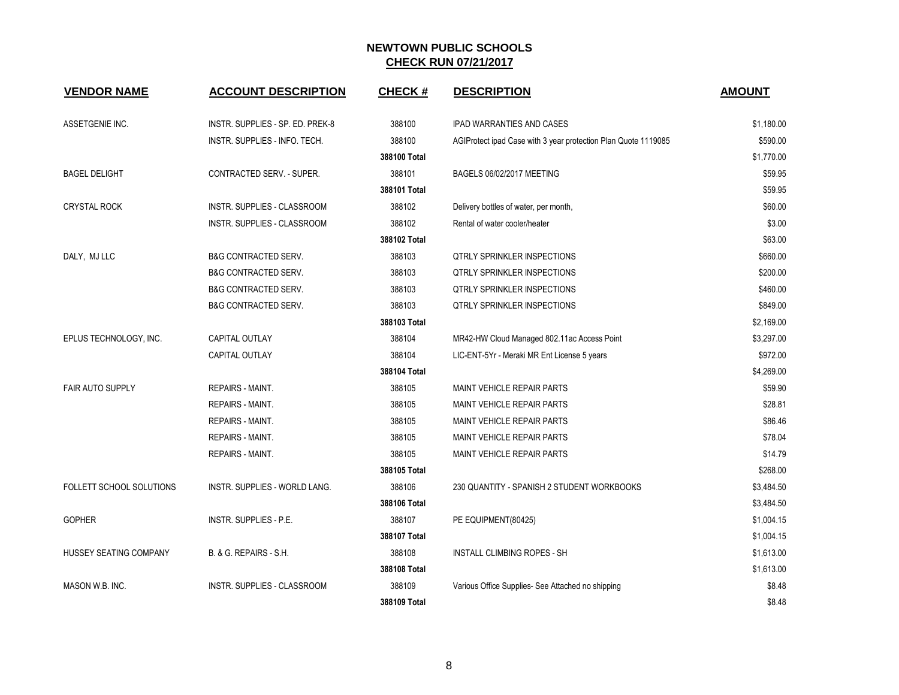| <b>VENDOR NAME</b>       | <b>ACCOUNT DESCRIPTION</b>         | <b>CHECK#</b> | <b>DESCRIPTION</b>                                             | <b>AMOUNT</b> |
|--------------------------|------------------------------------|---------------|----------------------------------------------------------------|---------------|
| ASSETGENIE INC.          | INSTR. SUPPLIES - SP. ED. PREK-8   | 388100        | <b>IPAD WARRANTIES AND CASES</b>                               | \$1,180.00    |
|                          | INSTR. SUPPLIES - INFO. TECH.      | 388100        | AGIProtect ipad Case with 3 year protection Plan Quote 1119085 | \$590.00      |
|                          |                                    | 388100 Total  |                                                                | \$1,770.00    |
| <b>BAGEL DELIGHT</b>     | CONTRACTED SERV. - SUPER.          | 388101        | BAGELS 06/02/2017 MEETING                                      | \$59.95       |
|                          |                                    | 388101 Total  |                                                                | \$59.95       |
| <b>CRYSTAL ROCK</b>      | INSTR. SUPPLIES - CLASSROOM        | 388102        | Delivery bottles of water, per month,                          | \$60.00       |
|                          | INSTR. SUPPLIES - CLASSROOM        | 388102        | Rental of water cooler/heater                                  | \$3.00        |
|                          |                                    | 388102 Total  |                                                                | \$63.00       |
| DALY, MJ LLC             | <b>B&amp;G CONTRACTED SERV.</b>    | 388103        | <b>QTRLY SPRINKLER INSPECTIONS</b>                             | \$660.00      |
|                          | <b>B&amp;G CONTRACTED SERV.</b>    | 388103        | QTRLY SPRINKLER INSPECTIONS                                    | \$200.00      |
|                          | <b>B&amp;G CONTRACTED SERV.</b>    | 388103        | <b>QTRLY SPRINKLER INSPECTIONS</b>                             | \$460.00      |
|                          | B&G CONTRACTED SERV.               | 388103        | QTRLY SPRINKLER INSPECTIONS                                    | \$849.00      |
|                          |                                    | 388103 Total  |                                                                | \$2,169.00    |
| EPLUS TECHNOLOGY, INC.   | CAPITAL OUTLAY                     | 388104        | MR42-HW Cloud Managed 802.11ac Access Point                    | \$3,297.00    |
|                          | CAPITAL OUTLAY                     | 388104        | LIC-ENT-5Yr - Meraki MR Ent License 5 years                    | \$972.00      |
|                          |                                    | 388104 Total  |                                                                | \$4,269.00    |
| <b>FAIR AUTO SUPPLY</b>  | <b>REPAIRS - MAINT.</b>            | 388105        | MAINT VEHICLE REPAIR PARTS                                     | \$59.90       |
|                          | <b>REPAIRS - MAINT.</b>            | 388105        | <b>MAINT VEHICLE REPAIR PARTS</b>                              | \$28.81       |
|                          | <b>REPAIRS - MAINT.</b>            | 388105        | <b>MAINT VEHICLE REPAIR PARTS</b>                              | \$86.46       |
|                          | <b>REPAIRS - MAINT.</b>            | 388105        | MAINT VEHICLE REPAIR PARTS                                     | \$78.04       |
|                          | REPAIRS - MAINT.                   | 388105        | <b>MAINT VEHICLE REPAIR PARTS</b>                              | \$14.79       |
|                          |                                    | 388105 Total  |                                                                | \$268.00      |
| FOLLETT SCHOOL SOLUTIONS | INSTR. SUPPLIES - WORLD LANG.      | 388106        | 230 QUANTITY - SPANISH 2 STUDENT WORKBOOKS                     | \$3,484.50    |
|                          |                                    | 388106 Total  |                                                                | \$3,484.50    |
| <b>GOPHER</b>            | INSTR. SUPPLIES - P.E.             | 388107        | PE EQUIPMENT(80425)                                            | \$1,004.15    |
|                          |                                    | 388107 Total  |                                                                | \$1,004.15    |
| HUSSEY SEATING COMPANY   | B. & G. REPAIRS - S.H.             | 388108        | INSTALL CLIMBING ROPES - SH                                    | \$1,613.00    |
|                          |                                    | 388108 Total  |                                                                | \$1,613.00    |
| MASON W.B. INC.          | <b>INSTR. SUPPLIES - CLASSROOM</b> | 388109        | Various Office Supplies- See Attached no shipping              | \$8.48        |
|                          |                                    | 388109 Total  |                                                                | \$8.48        |